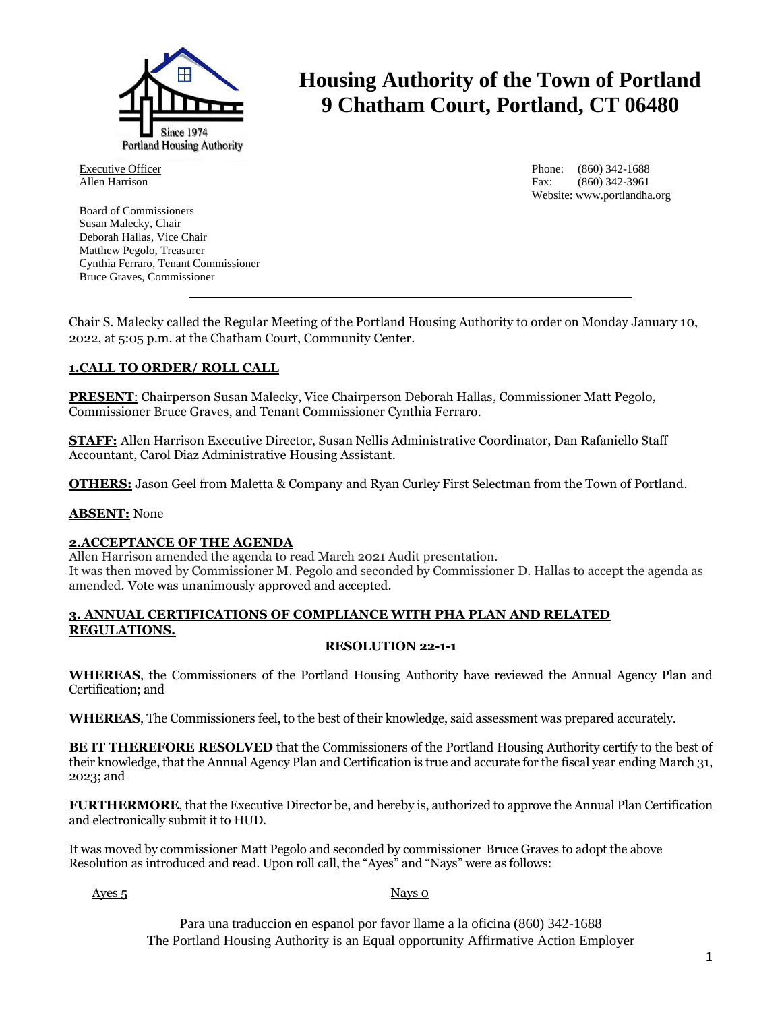

Executive Officer Allen Harrison

Board of Commissioners Susan Malecky, Chair Deborah Hallas, Vice Chair Matthew Pegolo, Treasurer Cynthia Ferraro, Tenant Commissioner Bruce Graves, Commissioner

# **Housing Authority of the Town of Portland 9 Chatham Court, Portland, CT 06480**

Phone: (860) 342-1688 Fax: (860) 342-3961 Website: www.portlandha.org

Chair S. Malecky called the Regular Meeting of the Portland Housing Authority to order on Monday January 10, 2022, at 5:05 p.m. at the Chatham Court, Community Center.

## **1.CALL TO ORDER/ ROLL CALL**

**PRESENT**: Chairperson Susan Malecky, Vice Chairperson Deborah Hallas, Commissioner Matt Pegolo, Commissioner Bruce Graves, and Tenant Commissioner Cynthia Ferraro.

**STAFF:** Allen Harrison Executive Director, Susan Nellis Administrative Coordinator, Dan Rafaniello Staff Accountant, Carol Diaz Administrative Housing Assistant.

**OTHERS:** Jason Geel from Maletta & Company and Ryan Curley First Selectman from the Town of Portland.

**ABSENT:** None

#### **2.ACCEPTANCE OF THE AGENDA**

Allen Harrison amended the agenda to read March 2021 Audit presentation. It was then moved by Commissioner M. Pegolo and seconded by Commissioner D. Hallas to accept the agenda as amended. Vote was unanimously approved and accepted.

## **3. ANNUAL CERTIFICATIONS OF COMPLIANCE WITH PHA PLAN AND RELATED REGULATIONS.**

#### **RESOLUTION 22-1-1**

**WHEREAS**, the Commissioners of the Portland Housing Authority have reviewed the Annual Agency Plan and Certification; and

**WHEREAS**, The Commissioners feel, to the best of their knowledge, said assessment was prepared accurately.

**BE IT THEREFORE RESOLVED** that the Commissioners of the Portland Housing Authority certify to the best of their knowledge, that the Annual Agency Plan and Certification is true and accurate for the fiscal year ending March 31, 2023; and

**FURTHERMORE**, that the Executive Director be, and hereby is, authorized to approve the Annual Plan Certification and electronically submit it to HUD.

It was moved by commissioner Matt Pegolo and seconded by commissioner Bruce Graves to adopt the above Resolution as introduced and read. Upon roll call, the "Ayes" and "Nays" were as follows:

#### Ayes 5 Nays 0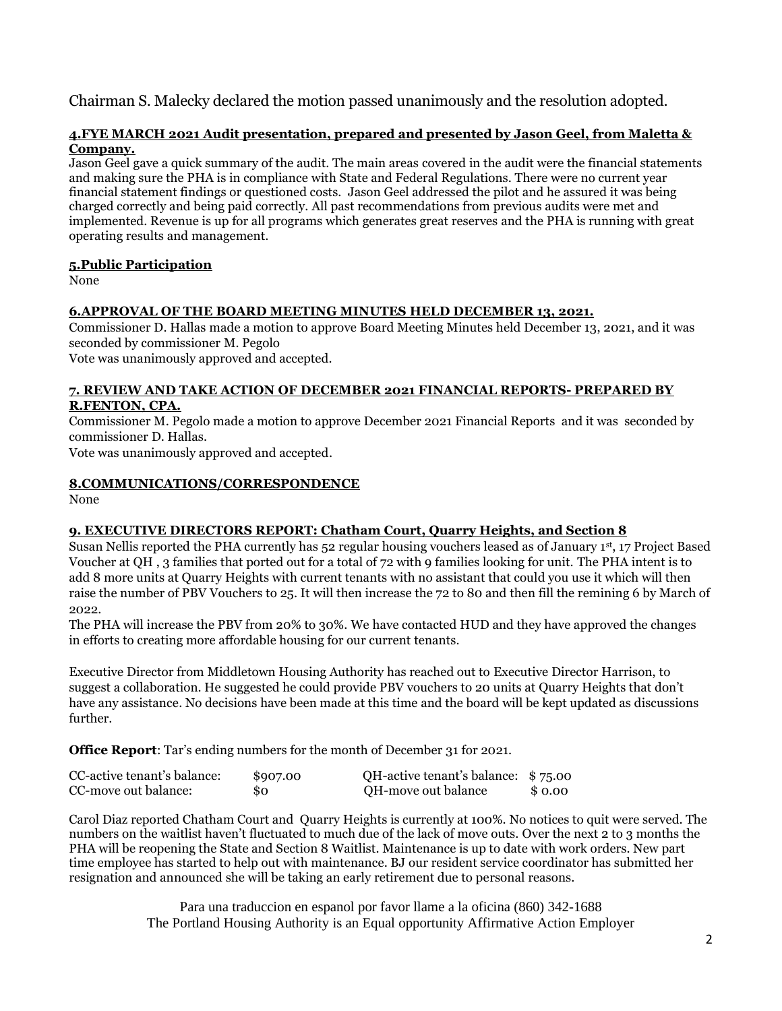Chairman S. Malecky declared the motion passed unanimously and the resolution adopted.

## **4.FYE MARCH 2021 Audit presentation, prepared and presented by Jason Geel, from Maletta & Company.**

Jason Geel gave a quick summary of the audit. The main areas covered in the audit were the financial statements and making sure the PHA is in compliance with State and Federal Regulations. There were no current year financial statement findings or questioned costs. Jason Geel addressed the pilot and he assured it was being charged correctly and being paid correctly. All past recommendations from previous audits were met and implemented. Revenue is up for all programs which generates great reserves and the PHA is running with great operating results and management.

## **5.Public Participation**

None

## **6.APPROVAL OF THE BOARD MEETING MINUTES HELD DECEMBER 13, 2021.**

Commissioner D. Hallas made a motion to approve Board Meeting Minutes held December 13, 2021, and it was seconded by commissioner M. Pegolo

Vote was unanimously approved and accepted.

### **7. REVIEW AND TAKE ACTION OF DECEMBER 2021 FINANCIAL REPORTS- PREPARED BY R.FENTON, CPA.**

Commissioner M. Pegolo made a motion to approve December 2021 Financial Reports and it was seconded by commissioner D. Hallas.

Vote was unanimously approved and accepted.

## **8.COMMUNICATIONS/CORRESPONDENCE**

None

## **9. EXECUTIVE DIRECTORS REPORT: Chatham Court, Quarry Heights, and Section 8**

Susan Nellis reported the PHA currently has 52 regular housing vouchers leased as of January 1st, 17 Project Based Voucher at QH , 3 families that ported out for a total of 72 with 9 families looking for unit. The PHA intent is to add 8 more units at Quarry Heights with current tenants with no assistant that could you use it which will then raise the number of PBV Vouchers to 25. It will then increase the 72 to 80 and then fill the remining 6 by March of 2022.

The PHA will increase the PBV from 20% to 30%. We have contacted HUD and they have approved the changes in efforts to creating more affordable housing for our current tenants.

Executive Director from Middletown Housing Authority has reached out to Executive Director Harrison, to suggest a collaboration. He suggested he could provide PBV vouchers to 20 units at Quarry Heights that don't have any assistance. No decisions have been made at this time and the board will be kept updated as discussions further.

**Office Report**: Tar's ending numbers for the month of December 31 for 2021.

| CC-active tenant's balance: | \$907.00 | QH-active tenant's balance: \$75.00 |         |
|-----------------------------|----------|-------------------------------------|---------|
| CC-move out balance:        | 80       | QH-move out balance                 | \$ 0.00 |

Carol Diaz reported Chatham Court and Quarry Heights is currently at 100%. No notices to quit were served. The numbers on the waitlist haven't fluctuated to much due of the lack of move outs. Over the next 2 to 3 months the PHA will be reopening the State and Section 8 Waitlist. Maintenance is up to date with work orders. New part time employee has started to help out with maintenance. BJ our resident service coordinator has submitted her resignation and announced she will be taking an early retirement due to personal reasons.